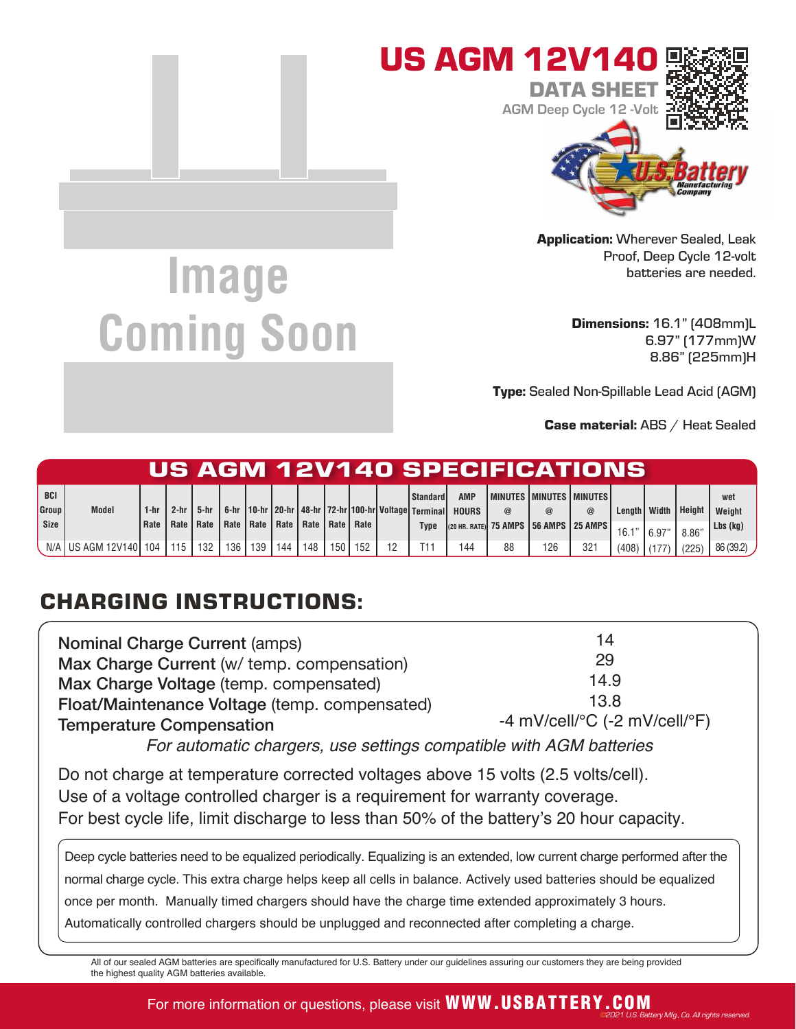

Application: Wherever Sealed, Leak Proof, Deep Cycle 12-volt batteries are needed.

> Dimensions: 16.1" (408mm)L 6.97" (177mm)W 8.86" (225mm)H

**Type:** Sealed Non-Spillable Lead Acid (AGM)

Case material: ABS / Heat Sealed

v Mfg., Co. All rights r

|                             |                           |              |                       |      |     |             |     |                           |       |     |                                                                                                      |                            |          | US AGM 12V140 SPECIFICATIONS                                                       |                 |                        |        |                |                                 |
|-----------------------------|---------------------------|--------------|-----------------------|------|-----|-------------|-----|---------------------------|-------|-----|------------------------------------------------------------------------------------------------------|----------------------------|----------|------------------------------------------------------------------------------------|-----------------|------------------------|--------|----------------|---------------------------------|
| <b>BCI</b><br>Group<br>Size | <b>Model</b>              | 1-hr<br>Rate | $2-hr$<br>Rate   Rate | 5-hr |     | Rate   Rate |     | Rate   Rate   Rate   Rate |       |     | <b>Standard</b><br>6-hr   10-hr   20-hr   48-hr   72-hr   100-hr   Voltage   Terminal<br><b>Type</b> | <b>AMP</b><br><b>HOURS</b> | $\omega$ | <b>I MINUTES I MINUTES I MINUTES!</b><br>(20 HR. RATE) 75 AMPS   56 AMPS   25 AMPS | $^{\copyright}$ | Length   Width<br>16.1 |        | <b>Height</b>  | wet<br>Weight<br>$Lbs$ ( $kq$ ) |
|                             | N/A I US AGM 12V140 I 104 |              | 115                   | 132  | 136 | 139         | 144 | 148                       | 150 l | 152 | T11                                                                                                  | 144                        | 88       | 126                                                                                | 321             | $(408)$ (177           | .6.97" | 8.86'<br>(225) | 86 (39.2)                       |

## CHARGING INSTRUCTIONS:

**Image** 

**Coming Soon**

| <b>Nominal Charge Current (amps)</b>          | 14                                                      |  |  |  |  |  |
|-----------------------------------------------|---------------------------------------------------------|--|--|--|--|--|
| Max Charge Current (w/ temp. compensation)    | 29                                                      |  |  |  |  |  |
| Max Charge Voltage (temp. compensated)        | 14.9                                                    |  |  |  |  |  |
| Float/Maintenance Voltage (temp. compensated) | 13.8                                                    |  |  |  |  |  |
| <b>Temperature Compensation</b>               | -4 mV/cell/ ${}^{\circ}$ C (-2 mV/cell/ ${}^{\circ}$ F) |  |  |  |  |  |
|                                               |                                                         |  |  |  |  |  |

For automatic chargers, use settings compatible with AGM batteries

Do not charge at temperature corrected voltages above 15 volts (2.5 volts/cell). Use of a voltage controlled charger is a requirement for warranty coverage. For best cycle life, limit discharge to less than 50% of the battery's 20 hour capacity.

Deep cycle batteries need to be equalized periodically. Equalizing is an extended, low current charge performed after the normal charge cycle. This extra charge helps keep all cells in balance. Actively used batteries should be equalized once per month. Manually timed chargers should have the charge time extended approximately 3 hours. Automatically controlled chargers should be unplugged and reconnected after completing a charge.

All of our sealed AGM batteries are specifically manufactured for U.S. Battery under our guidelines assuring our customers they are being provided the highest quality AGM batteries available.

## For more information or questions, please visit **WWW.USBATTERY.COM**